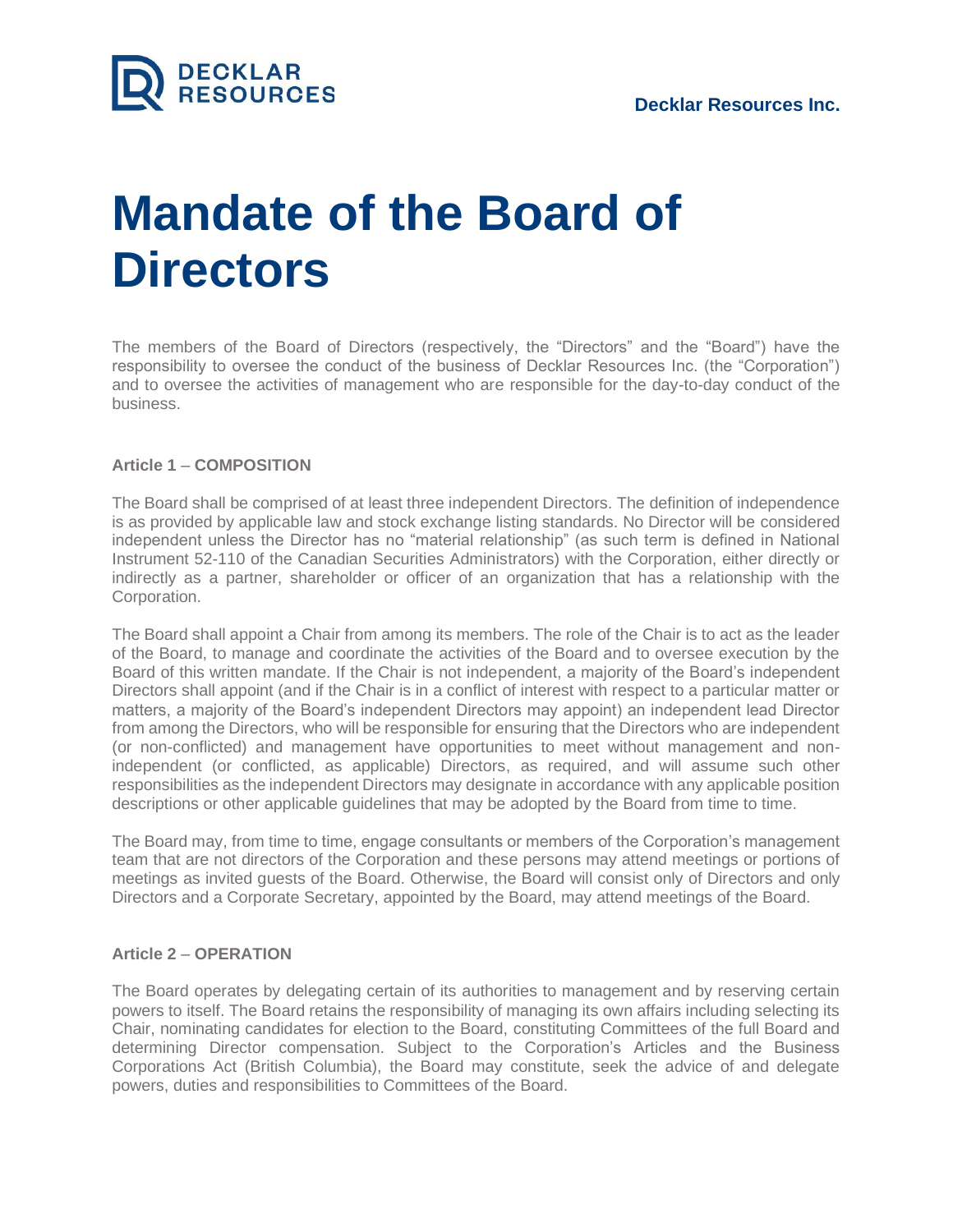

# **Mandate of the Board of Directors**

The members of the Board of Directors (respectively, the "Directors" and the "Board") have the responsibility to oversee the conduct of the business of Decklar Resources Inc. (the "Corporation") and to oversee the activities of management who are responsible for the day-to-day conduct of the business.

## **Article 1** – **COMPOSITION**

The Board shall be comprised of at least three independent Directors. The definition of independence is as provided by applicable law and stock exchange listing standards. No Director will be considered independent unless the Director has no "material relationship" (as such term is defined in National Instrument 52-110 of the Canadian Securities Administrators) with the Corporation, either directly or indirectly as a partner, shareholder or officer of an organization that has a relationship with the Corporation.

The Board shall appoint a Chair from among its members. The role of the Chair is to act as the leader of the Board, to manage and coordinate the activities of the Board and to oversee execution by the Board of this written mandate. If the Chair is not independent, a majority of the Board's independent Directors shall appoint (and if the Chair is in a conflict of interest with respect to a particular matter or matters, a majority of the Board's independent Directors may appoint) an independent lead Director from among the Directors, who will be responsible for ensuring that the Directors who are independent (or non-conflicted) and management have opportunities to meet without management and nonindependent (or conflicted, as applicable) Directors, as required, and will assume such other responsibilities as the independent Directors may designate in accordance with any applicable position descriptions or other applicable guidelines that may be adopted by the Board from time to time.

The Board may, from time to time, engage consultants or members of the Corporation's management team that are not directors of the Corporation and these persons may attend meetings or portions of meetings as invited guests of the Board. Otherwise, the Board will consist only of Directors and only Directors and a Corporate Secretary, appointed by the Board, may attend meetings of the Board.

## **Article 2** – **OPERATION**

The Board operates by delegating certain of its authorities to management and by reserving certain powers to itself. The Board retains the responsibility of managing its own affairs including selecting its Chair, nominating candidates for election to the Board, constituting Committees of the full Board and determining Director compensation. Subject to the Corporation's Articles and the Business Corporations Act (British Columbia), the Board may constitute, seek the advice of and delegate powers, duties and responsibilities to Committees of the Board.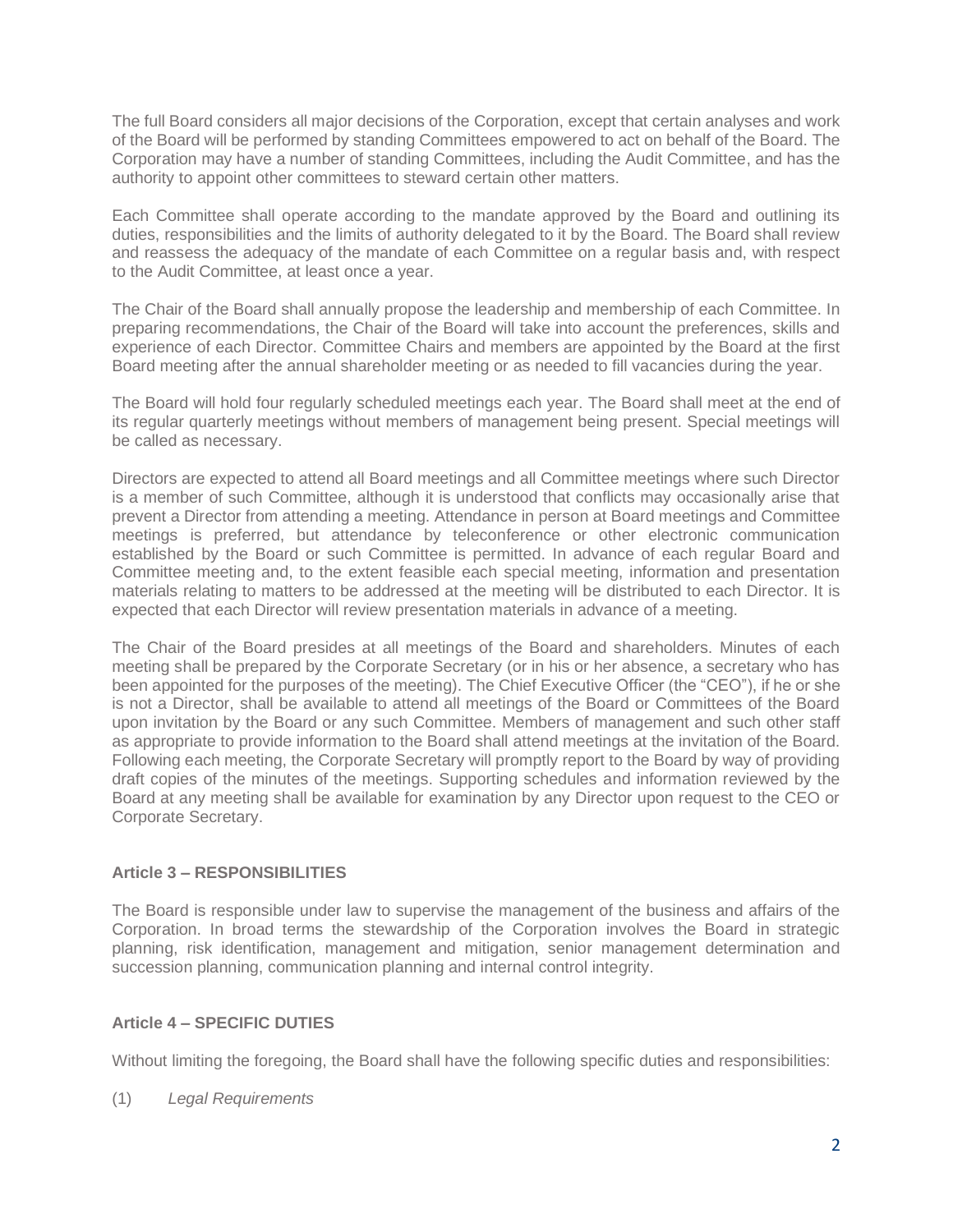The full Board considers all major decisions of the Corporation, except that certain analyses and work of the Board will be performed by standing Committees empowered to act on behalf of the Board. The Corporation may have a number of standing Committees, including the Audit Committee, and has the authority to appoint other committees to steward certain other matters.

Each Committee shall operate according to the mandate approved by the Board and outlining its duties, responsibilities and the limits of authority delegated to it by the Board. The Board shall review and reassess the adequacy of the mandate of each Committee on a regular basis and, with respect to the Audit Committee, at least once a year.

The Chair of the Board shall annually propose the leadership and membership of each Committee. In preparing recommendations, the Chair of the Board will take into account the preferences, skills and experience of each Director. Committee Chairs and members are appointed by the Board at the first Board meeting after the annual shareholder meeting or as needed to fill vacancies during the year.

The Board will hold four regularly scheduled meetings each year. The Board shall meet at the end of its regular quarterly meetings without members of management being present. Special meetings will be called as necessary.

Directors are expected to attend all Board meetings and all Committee meetings where such Director is a member of such Committee, although it is understood that conflicts may occasionally arise that prevent a Director from attending a meeting. Attendance in person at Board meetings and Committee meetings is preferred, but attendance by teleconference or other electronic communication established by the Board or such Committee is permitted. In advance of each regular Board and Committee meeting and, to the extent feasible each special meeting, information and presentation materials relating to matters to be addressed at the meeting will be distributed to each Director. It is expected that each Director will review presentation materials in advance of a meeting.

The Chair of the Board presides at all meetings of the Board and shareholders. Minutes of each meeting shall be prepared by the Corporate Secretary (or in his or her absence, a secretary who has been appointed for the purposes of the meeting). The Chief Executive Officer (the "CEO"), if he or she is not a Director, shall be available to attend all meetings of the Board or Committees of the Board upon invitation by the Board or any such Committee. Members of management and such other staff as appropriate to provide information to the Board shall attend meetings at the invitation of the Board. Following each meeting, the Corporate Secretary will promptly report to the Board by way of providing draft copies of the minutes of the meetings. Supporting schedules and information reviewed by the Board at any meeting shall be available for examination by any Director upon request to the CEO or Corporate Secretary.

## **Article 3 – RESPONSIBILITIES**

The Board is responsible under law to supervise the management of the business and affairs of the Corporation. In broad terms the stewardship of the Corporation involves the Board in strategic planning, risk identification, management and mitigation, senior management determination and succession planning, communication planning and internal control integrity.

## **Article 4 – SPECIFIC DUTIES**

Without limiting the foregoing, the Board shall have the following specific duties and responsibilities:

(1) *Legal Requirements*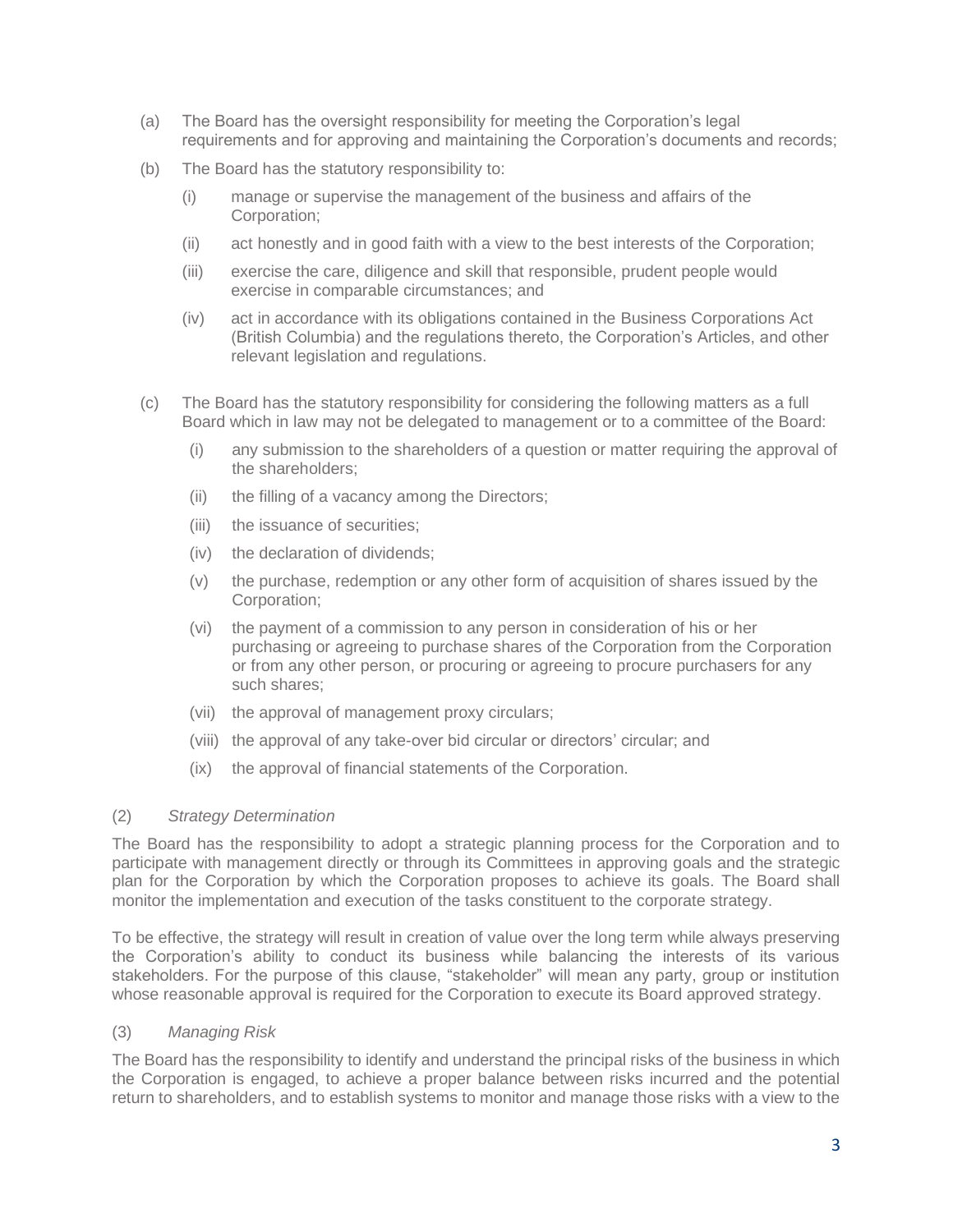- (a) The Board has the oversight responsibility for meeting the Corporation's legal requirements and for approving and maintaining the Corporation's documents and records;
- (b) The Board has the statutory responsibility to:
	- (i) manage or supervise the management of the business and affairs of the Corporation;
	- (ii) act honestly and in good faith with a view to the best interests of the Corporation;
	- (iii) exercise the care, diligence and skill that responsible, prudent people would exercise in comparable circumstances; and
	- (iv) act in accordance with its obligations contained in the Business Corporations Act (British Columbia) and the regulations thereto, the Corporation's Articles, and other relevant legislation and regulations.
- (c) The Board has the statutory responsibility for considering the following matters as a full Board which in law may not be delegated to management or to a committee of the Board:
	- (i) any submission to the shareholders of a question or matter requiring the approval of the shareholders;
	- (ii) the filling of a vacancy among the Directors;
	- (iii) the issuance of securities;
	- (iv) the declaration of dividends;
	- (v) the purchase, redemption or any other form of acquisition of shares issued by the Corporation;
	- (vi) the payment of a commission to any person in consideration of his or her purchasing or agreeing to purchase shares of the Corporation from the Corporation or from any other person, or procuring or agreeing to procure purchasers for any such shares;
	- (vii) the approval of management proxy circulars;
	- (viii) the approval of any take-over bid circular or directors' circular; and
	- (ix) the approval of financial statements of the Corporation.

## (2) *Strategy Determination*

The Board has the responsibility to adopt a strategic planning process for the Corporation and to participate with management directly or through its Committees in approving goals and the strategic plan for the Corporation by which the Corporation proposes to achieve its goals. The Board shall monitor the implementation and execution of the tasks constituent to the corporate strategy.

To be effective, the strategy will result in creation of value over the long term while always preserving the Corporation's ability to conduct its business while balancing the interests of its various stakeholders. For the purpose of this clause, "stakeholder" will mean any party, group or institution whose reasonable approval is required for the Corporation to execute its Board approved strategy.

## (3) *Managing Risk*

The Board has the responsibility to identify and understand the principal risks of the business in which the Corporation is engaged, to achieve a proper balance between risks incurred and the potential return to shareholders, and to establish systems to monitor and manage those risks with a view to the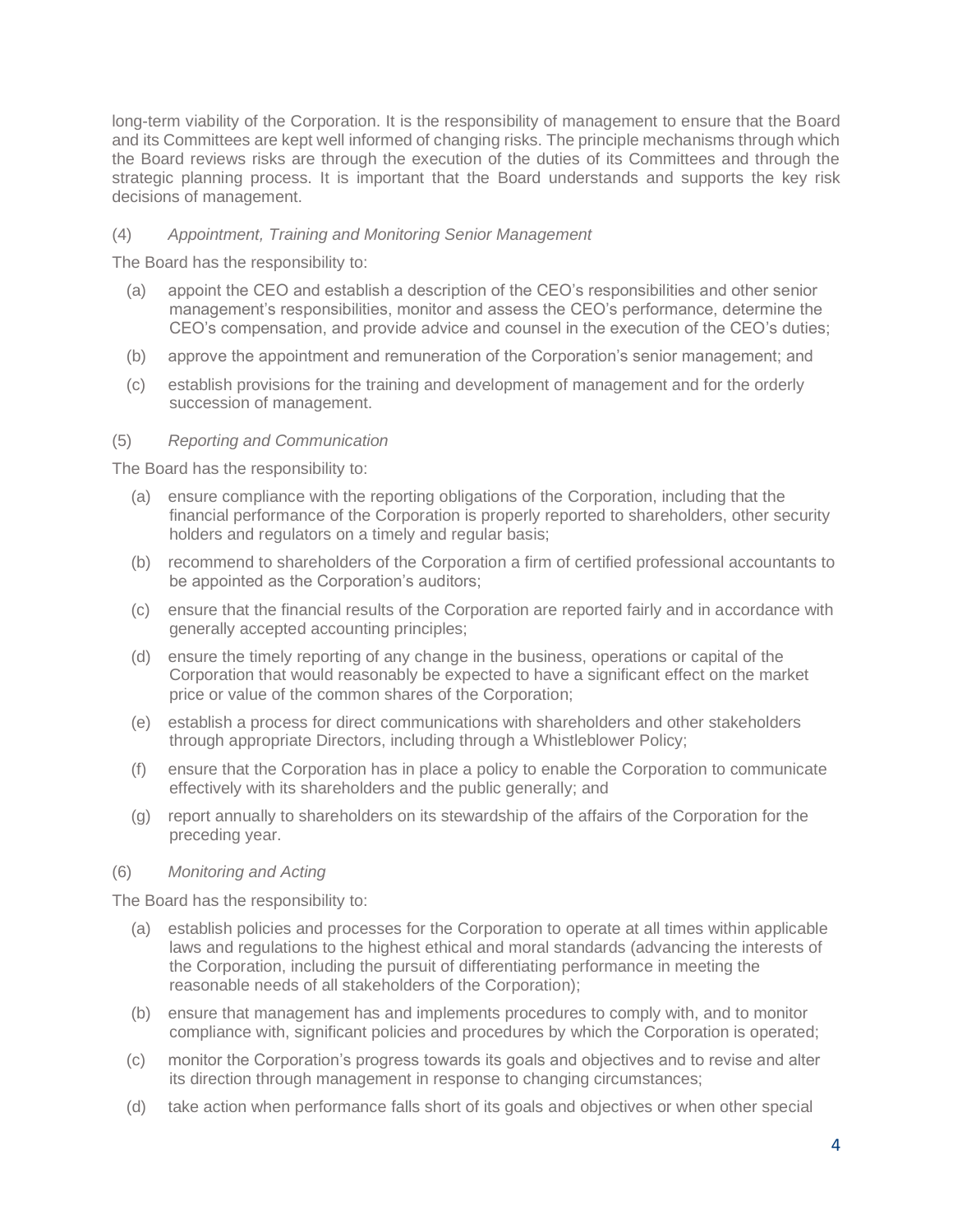long-term viability of the Corporation. It is the responsibility of management to ensure that the Board and its Committees are kept well informed of changing risks. The principle mechanisms through which the Board reviews risks are through the execution of the duties of its Committees and through the strategic planning process. It is important that the Board understands and supports the key risk decisions of management.

## (4) *Appointment, Training and Monitoring Senior Management*

The Board has the responsibility to:

- (a) appoint the CEO and establish a description of the CEO's responsibilities and other senior management's responsibilities, monitor and assess the CEO's performance, determine the CEO's compensation, and provide advice and counsel in the execution of the CEO's duties;
- (b) approve the appointment and remuneration of the Corporation's senior management; and
- (c) establish provisions for the training and development of management and for the orderly succession of management.

## (5) *Reporting and Communication*

The Board has the responsibility to:

- (a) ensure compliance with the reporting obligations of the Corporation, including that the financial performance of the Corporation is properly reported to shareholders, other security holders and regulators on a timely and regular basis;
- (b) recommend to shareholders of the Corporation a firm of certified professional accountants to be appointed as the Corporation's auditors;
- (c) ensure that the financial results of the Corporation are reported fairly and in accordance with generally accepted accounting principles;
- (d) ensure the timely reporting of any change in the business, operations or capital of the Corporation that would reasonably be expected to have a significant effect on the market price or value of the common shares of the Corporation;
- (e) establish a process for direct communications with shareholders and other stakeholders through appropriate Directors, including through a Whistleblower Policy;
- (f) ensure that the Corporation has in place a policy to enable the Corporation to communicate effectively with its shareholders and the public generally; and
- (g) report annually to shareholders on its stewardship of the affairs of the Corporation for the preceding year.

## (6) *Monitoring and Acting*

The Board has the responsibility to:

- (a) establish policies and processes for the Corporation to operate at all times within applicable laws and regulations to the highest ethical and moral standards (advancing the interests of the Corporation, including the pursuit of differentiating performance in meeting the reasonable needs of all stakeholders of the Corporation);
- (b) ensure that management has and implements procedures to comply with, and to monitor compliance with, significant policies and procedures by which the Corporation is operated;
- (c) monitor the Corporation's progress towards its goals and objectives and to revise and alter its direction through management in response to changing circumstances;
- (d) take action when performance falls short of its goals and objectives or when other special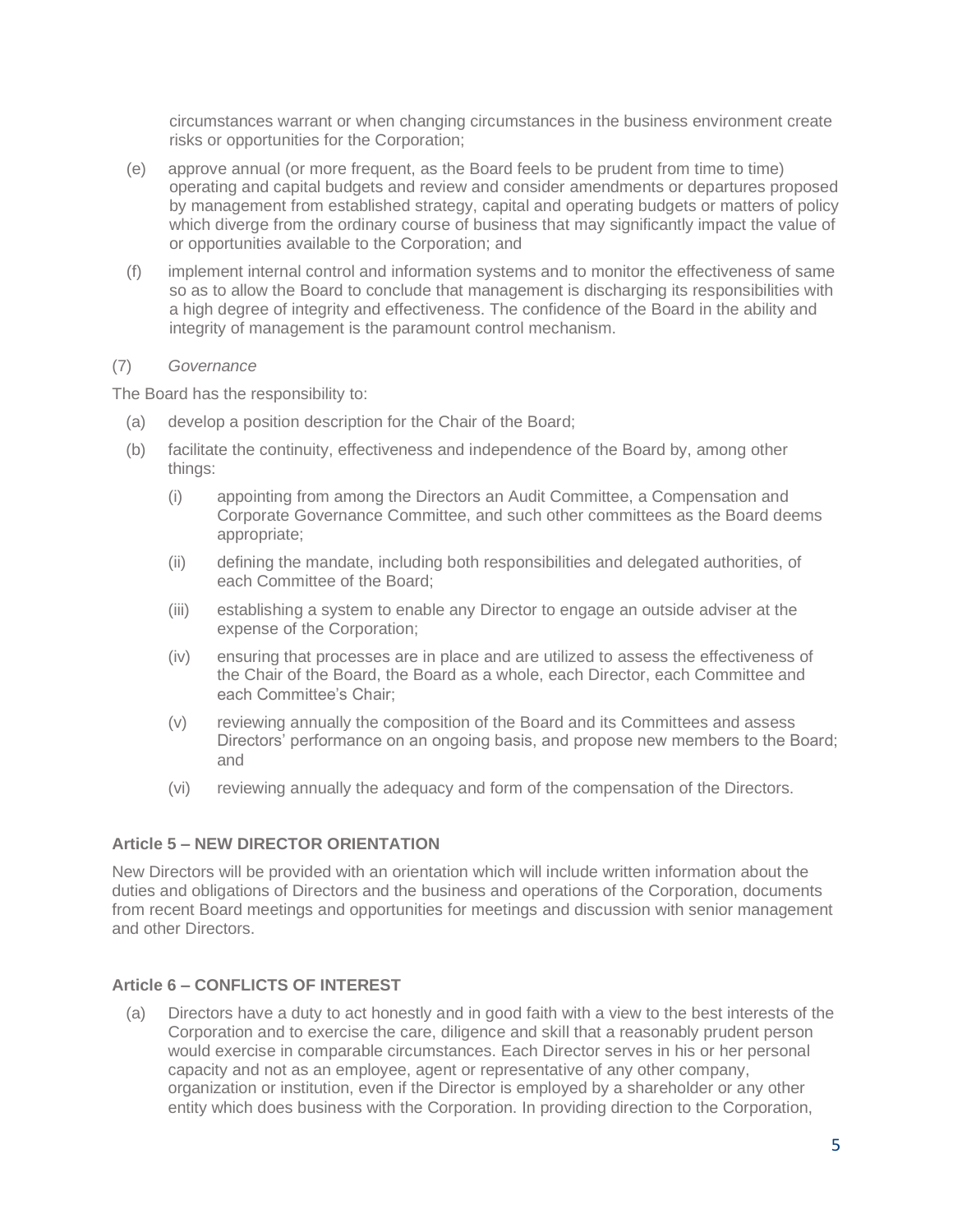circumstances warrant or when changing circumstances in the business environment create risks or opportunities for the Corporation;

- (e) approve annual (or more frequent, as the Board feels to be prudent from time to time) operating and capital budgets and review and consider amendments or departures proposed by management from established strategy, capital and operating budgets or matters of policy which diverge from the ordinary course of business that may significantly impact the value of or opportunities available to the Corporation; and
- (f) implement internal control and information systems and to monitor the effectiveness of same so as to allow the Board to conclude that management is discharging its responsibilities with a high degree of integrity and effectiveness. The confidence of the Board in the ability and integrity of management is the paramount control mechanism.

## (7) *Governance*

The Board has the responsibility to:

- (a) develop a position description for the Chair of the Board;
- (b) facilitate the continuity, effectiveness and independence of the Board by, among other things:
	- (i) appointing from among the Directors an Audit Committee, a Compensation and Corporate Governance Committee, and such other committees as the Board deems appropriate;
	- (ii) defining the mandate, including both responsibilities and delegated authorities, of each Committee of the Board;
	- (iii) establishing a system to enable any Director to engage an outside adviser at the expense of the Corporation;
	- (iv) ensuring that processes are in place and are utilized to assess the effectiveness of the Chair of the Board, the Board as a whole, each Director, each Committee and each Committee's Chair;
	- (v) reviewing annually the composition of the Board and its Committees and assess Directors' performance on an ongoing basis, and propose new members to the Board; and
	- (vi) reviewing annually the adequacy and form of the compensation of the Directors.

## **Article 5 – NEW DIRECTOR ORIENTATION**

New Directors will be provided with an orientation which will include written information about the duties and obligations of Directors and the business and operations of the Corporation, documents from recent Board meetings and opportunities for meetings and discussion with senior management and other Directors.

## **Article 6 – CONFLICTS OF INTEREST**

(a) Directors have a duty to act honestly and in good faith with a view to the best interests of the Corporation and to exercise the care, diligence and skill that a reasonably prudent person would exercise in comparable circumstances. Each Director serves in his or her personal capacity and not as an employee, agent or representative of any other company, organization or institution, even if the Director is employed by a shareholder or any other entity which does business with the Corporation. In providing direction to the Corporation,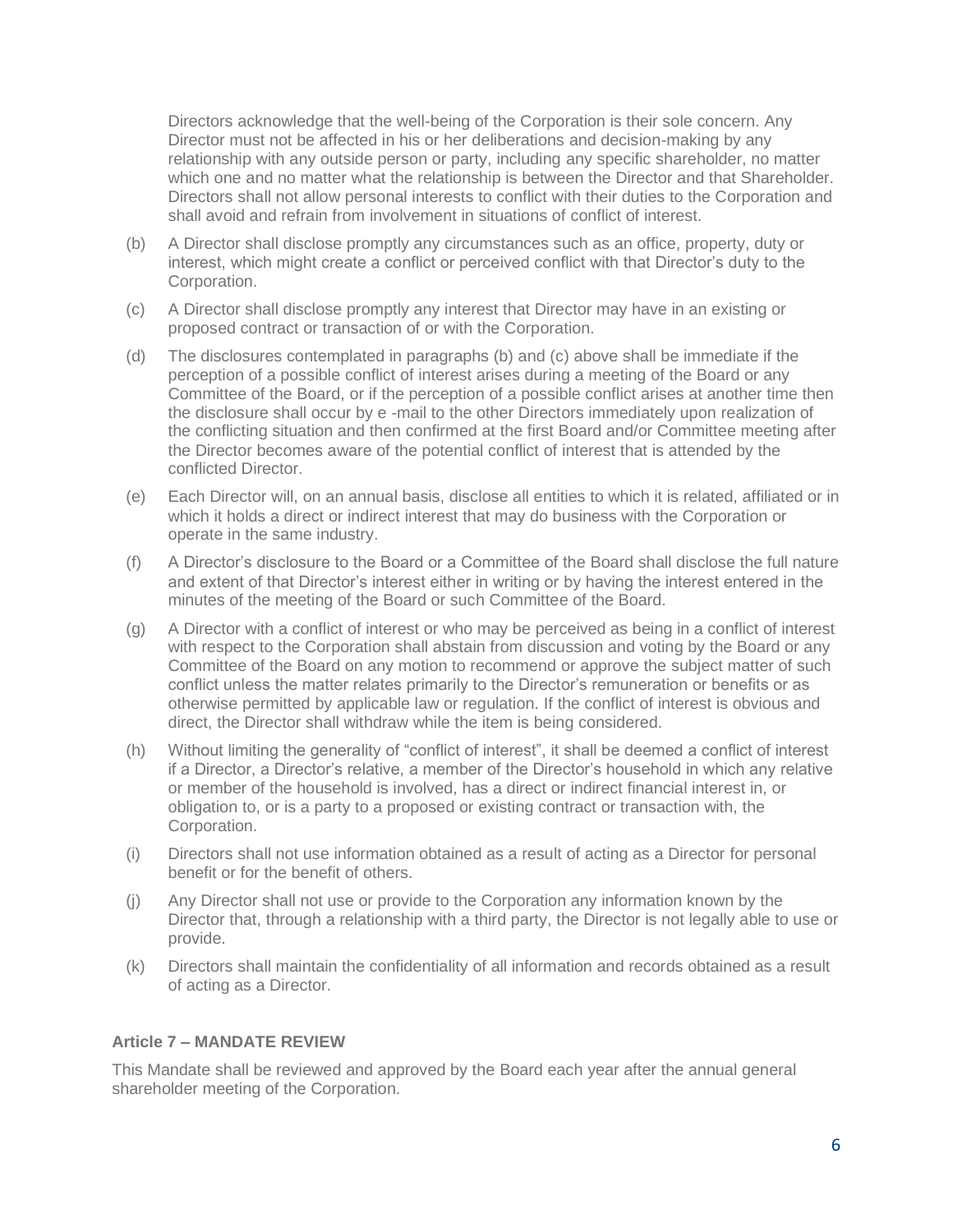Directors acknowledge that the well-being of the Corporation is their sole concern. Any Director must not be affected in his or her deliberations and decision-making by any relationship with any outside person or party, including any specific shareholder, no matter which one and no matter what the relationship is between the Director and that Shareholder. Directors shall not allow personal interests to conflict with their duties to the Corporation and shall avoid and refrain from involvement in situations of conflict of interest.

- (b) A Director shall disclose promptly any circumstances such as an office, property, duty or interest, which might create a conflict or perceived conflict with that Director's duty to the Corporation.
- (c) A Director shall disclose promptly any interest that Director may have in an existing or proposed contract or transaction of or with the Corporation.
- (d) The disclosures contemplated in paragraphs (b) and (c) above shall be immediate if the perception of a possible conflict of interest arises during a meeting of the Board or any Committee of the Board, or if the perception of a possible conflict arises at another time then the disclosure shall occur by e -mail to the other Directors immediately upon realization of the conflicting situation and then confirmed at the first Board and/or Committee meeting after the Director becomes aware of the potential conflict of interest that is attended by the conflicted Director.
- (e) Each Director will, on an annual basis, disclose all entities to which it is related, affiliated or in which it holds a direct or indirect interest that may do business with the Corporation or operate in the same industry.
- (f) A Director's disclosure to the Board or a Committee of the Board shall disclose the full nature and extent of that Director's interest either in writing or by having the interest entered in the minutes of the meeting of the Board or such Committee of the Board.
- (g) A Director with a conflict of interest or who may be perceived as being in a conflict of interest with respect to the Corporation shall abstain from discussion and voting by the Board or any Committee of the Board on any motion to recommend or approve the subject matter of such conflict unless the matter relates primarily to the Director's remuneration or benefits or as otherwise permitted by applicable law or regulation. If the conflict of interest is obvious and direct, the Director shall withdraw while the item is being considered.
- (h) Without limiting the generality of "conflict of interest", it shall be deemed a conflict of interest if a Director, a Director's relative, a member of the Director's household in which any relative or member of the household is involved, has a direct or indirect financial interest in, or obligation to, or is a party to a proposed or existing contract or transaction with, the Corporation.
- (i) Directors shall not use information obtained as a result of acting as a Director for personal benefit or for the benefit of others.
- (j) Any Director shall not use or provide to the Corporation any information known by the Director that, through a relationship with a third party, the Director is not legally able to use or provide.
- (k) Directors shall maintain the confidentiality of all information and records obtained as a result of acting as a Director.

## **Article 7 – MANDATE REVIEW**

This Mandate shall be reviewed and approved by the Board each year after the annual general shareholder meeting of the Corporation.